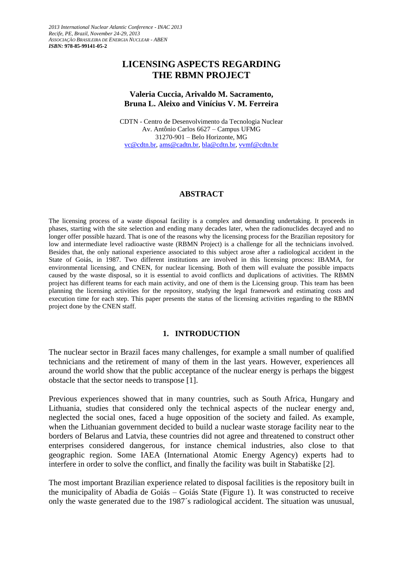*2013 International Nuclear Atlantic Conference - INAC 2013 Recife, PE, Brazil, November 24-29, 2013 ASSOCIAÇÃO BRASILEIRA DE ENERGIA NUCLEAR - ABEN ISBN:* **978-85-99141-05-2**

# **LICENSING ASPECTS REGARDING THE RBMN PROJECT**

#### **Valeria Cuccia, Arivaldo M. Sacramento, Bruna L. Aleixo and Vinícius V. M. Ferreira**

CDTN - Centro de Desenvolvimento da Tecnologia Nuclear Av. Antônio Carlos 6627 – Campus UFMG 31270-901 – Belo Horizonte, MG [vc@cdtn.br,](mailto:vc@cdtn.br) [ams@cadtn.br,](mailto:ams@cadtn.br) [bla@cdtn.br,](mailto:bla@cdtn.br) [vvmf@cdtn.br](mailto:vvmf@cdtn.br)

#### **ABSTRACT**

The licensing process of a waste disposal facility is a complex and demanding undertaking. It proceeds in phases, starting with the site selection and ending many decades later, when the radionuclides decayed and no longer offer possible hazard. That is one of the reasons why the licensing process for the Brazilian repository for low and intermediate level radioactive waste (RBMN Project) is a challenge for all the technicians involved. Besides that, the only national experience associated to this subject arose after a radiological accident in the State of Goiás, in 1987. Two different institutions are involved in this licensing process: IBAMA, for environmental licensing, and CNEN, for nuclear licensing. Both of them will evaluate the possible impacts caused by the waste disposal, so it is essential to avoid conflicts and duplications of activities. The RBMN project has different teams for each main activity, and one of them is the Licensing group. This team has been planning the licensing activities for the repository, studying the legal framework and estimating costs and execution time for each step. This paper presents the status of the licensing activities regarding to the RBMN project done by the CNEN staff.

#### **1. INTRODUCTION**

The nuclear sector in Brazil faces many challenges, for example a small number of qualified technicians and the retirement of many of them in the last years. However, experiences all around the world show that the public acceptance of the nuclear energy is perhaps the biggest obstacle that the sector needs to transpose [1].

Previous experiences showed that in many countries, such as South Africa, Hungary and Lithuania, studies that considered only the technical aspects of the nuclear energy and, neglected the social ones, faced a huge opposition of the society and failed. As example, when the Lithuanian government decided to build a nuclear waste storage facility near to the borders of Belarus and Latvia, these countries did not agree and threatened to construct other enterprises considered dangerous, for instance chemical industries, also close to that geographic region. Some IAEA (International Atomic Energy Agency) experts had to interfere in order to solve the conflict, and finally the facility was built in Stabatiške [2].

The most important Brazilian experience related to disposal facilities is the repository built in the municipality of Abadia de Goiás – Goiás State (Figure 1). It was constructed to receive only the waste generated due to the 1987´s radiological accident. The situation was unusual,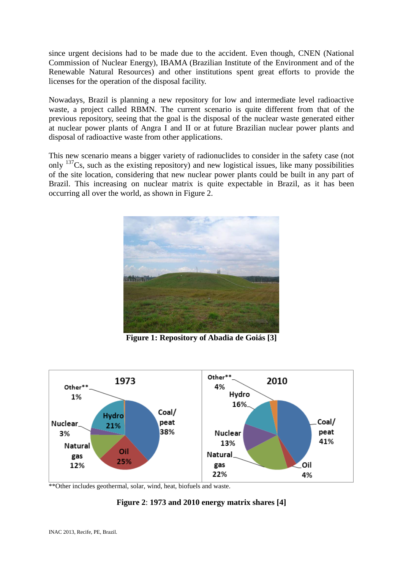since urgent decisions had to be made due to the accident. Even though, CNEN (National Commission of Nuclear Energy), IBAMA (Brazilian Institute of the Environment and of the Renewable Natural Resources) and other institutions spent great efforts to provide the licenses for the operation of the disposal facility.

Nowadays, Brazil is planning a new repository for low and intermediate level radioactive waste, a project called RBMN. The current scenario is quite different from that of the previous repository, seeing that the goal is the disposal of the nuclear waste generated either at nuclear power plants of Angra I and II or at future Brazilian nuclear power plants and disposal of radioactive waste from other applications.

This new scenario means a bigger variety of radionuclides to consider in the safety case (not only  $137Cs$ , such as the existing repository) and new logistical issues, like many possibilities of the site location, considering that new nuclear power plants could be built in any part of Brazil. This increasing on nuclear matrix is quite expectable in Brazil, as it has been occurring all over the world, as shown in Figure 2.



**Figure 1: Repository of Abadia de Goiás [3]**



\*\*Other includes geothermal, solar, wind, heat, biofuels and waste.

# **Figure 2**: **1973 and 2010 energy matrix shares [4]**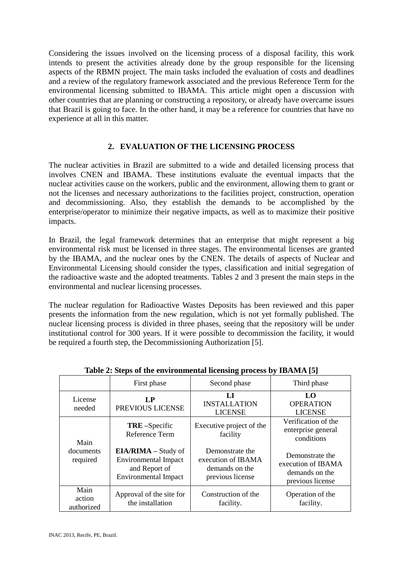Considering the issues involved on the licensing process of a disposal facility, this work intends to present the activities already done by the group responsible for the licensing aspects of the RBMN project. The main tasks included the evaluation of costs and deadlines and a review of the regulatory framework associated and the previous Reference Term for the environmental licensing submitted to IBAMA. This article might open a discussion with other countries that are planning or constructing a repository, or already have overcame issues that Brazil is going to face. In the other hand, it may be a reference for countries that have no experience at all in this matter.

# **2. EVALUATION OF THE LICENSING PROCESS**

The nuclear activities in Brazil are submitted to a wide and detailed licensing process that involves CNEN and IBAMA. These institutions evaluate the eventual impacts that the nuclear activities cause on the workers, public and the environment, allowing them to grant or not the licenses and necessary authorizations to the facilities project, construction, operation and decommissioning. Also, they establish the demands to be accomplished by the enterprise/operator to minimize their negative impacts, as well as to maximize their positive impacts.

In Brazil, the legal framework determines that an enterprise that might represent a big environmental risk must be licensed in three stages. The environmental licenses are granted by the IBAMA, and the nuclear ones by the CNEN. The details of aspects of Nuclear and Environmental Licensing should consider the types, classification and initial segregation of the radioactive waste and the adopted treatments. Tables 2 and 3 present the main steps in the environmental and nuclear licensing processes.

The nuclear regulation for Radioactive Wastes Deposits has been reviewed and this paper presents the information from the new regulation, which is not yet formally published. The nuclear licensing process is divided in three phases, seeing that the repository will be under institutional control for 300 years. If it were possible to decommission the facility, it would be required a fourth step, the Decommissioning Authorization [5].

|                               |                                                                                                           | $\mathbf{\mathbf{\mathbf{\mathbf{\mathbf{-1}}}}}$                           |                                                                             |
|-------------------------------|-----------------------------------------------------------------------------------------------------------|-----------------------------------------------------------------------------|-----------------------------------------------------------------------------|
|                               | First phase                                                                                               | Second phase                                                                | Third phase                                                                 |
| License<br>needed             | L <sub>P</sub><br>PREVIOUS LICENSE                                                                        | LI<br><b>INSTALLATION</b><br><b>LICENSE</b>                                 | LO <sub>1</sub><br><b>OPERATION</b><br><b>LICENSE</b>                       |
| Main<br>documents<br>required | <b>TRE</b> -Specific<br>Reference Term                                                                    | Executive project of the<br>facility                                        | Verification of the<br>enterprise general<br>conditions                     |
|                               | <b>EIA/RIMA</b> – Study of<br><b>Environmental Impact</b><br>and Report of<br><b>Environmental Impact</b> | Demonstrate the<br>execution of IBAMA<br>demands on the<br>previous license | Demonstrate the<br>execution of IBAMA<br>demands on the<br>previous license |
| Main<br>action<br>authorized  | Approval of the site for<br>the installation                                                              | Construction of the<br>facility.                                            | Operation of the<br>facility.                                               |

**Table 2: Steps of the environmental licensing process by IBAMA [5]**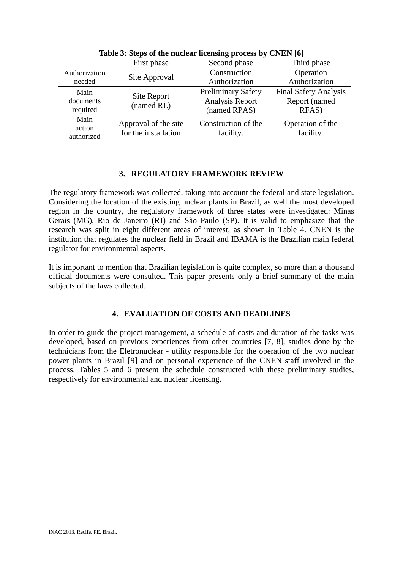|               | First phase               | Second phase              | Third phase                  |
|---------------|---------------------------|---------------------------|------------------------------|
| Authorization |                           | Construction              | Operation                    |
| needed        | Site Approval             | Authorization             | Authorization                |
| Main          |                           | <b>Preliminary Safety</b> | <b>Final Safety Analysis</b> |
| documents     | Site Report<br>(named RL) | Analysis Report           | Report (named                |
| required      |                           | (named RPAS)              | RFAS)                        |
| Main          | Approval of the site      | Construction of the       | Operation of the             |
| action        | for the installation      | facility.                 | facility.                    |
| authorized    |                           |                           |                              |

**Table 3: Steps of the nuclear licensing process by CNEN [6]**

# **3. REGULATORY FRAMEWORK REVIEW**

The regulatory framework was collected, taking into account the federal and state legislation. Considering the location of the existing nuclear plants in Brazil, as well the most developed region in the country, the regulatory framework of three states were investigated: Minas Gerais (MG), Rio de Janeiro (RJ) and São Paulo (SP). It is valid to emphasize that the research was split in eight different areas of interest, as shown in Table 4. CNEN is the institution that regulates the nuclear field in Brazil and IBAMA is the Brazilian main federal regulator for environmental aspects.

It is important to mention that Brazilian legislation is quite complex, so more than a thousand official documents were consulted. This paper presents only a brief summary of the main subjects of the laws collected.

# **4. EVALUATION OF COSTS AND DEADLINES**

In order to guide the project management, a schedule of costs and duration of the tasks was developed, based on previous experiences from other countries [7, 8], studies done by the technicians from the Eletronuclear - utility responsible for the operation of the two nuclear power plants in Brazil [9] and on personal experience of the CNEN staff involved in the process. Tables 5 and 6 present the schedule constructed with these preliminary studies, respectively for environmental and nuclear licensing.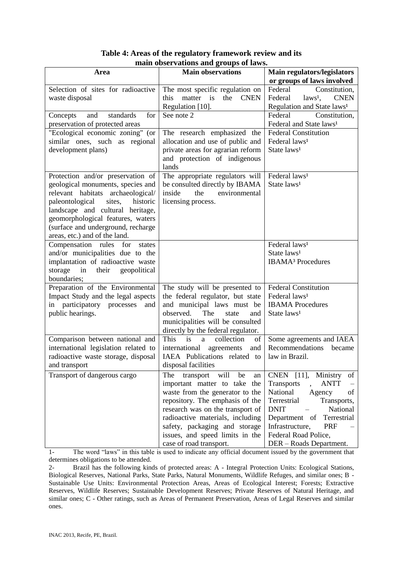| Table 4: Areas of the regulatory framework review and its |
|-----------------------------------------------------------|
| main observations and groups of laws.                     |

| нции божі тайбиз айч дібарэ бі німэ.   |                                            |                                        |  |  |
|----------------------------------------|--------------------------------------------|----------------------------------------|--|--|
| Area                                   | <b>Main observations</b>                   | Main regulators/legislators            |  |  |
|                                        |                                            | or groups of laws involved             |  |  |
| Selection of sites for radioactive     | The most specific regulation on            | Federal<br>Constitution,               |  |  |
| waste disposal                         | <b>CNEN</b><br>this<br>matter<br>the<br>is | Federal<br>$laws1$ ,<br><b>CNEN</b>    |  |  |
|                                        | Regulation [10].                           | Regulation and State laws <sup>1</sup> |  |  |
| standards<br>and<br>for<br>Concepts    | See note 2                                 | Federal<br>Constitution,               |  |  |
| preservation of protected areas        |                                            | Federal and State laws <sup>1</sup>    |  |  |
| "Ecological economic zoning" (or       | The research emphasized the                | <b>Federal Constitution</b>            |  |  |
| similar ones, such as regional         | allocation and use of public and           | Federal laws <sup>1</sup>              |  |  |
| development plans)                     | private areas for agrarian reform          | State laws <sup>1</sup>                |  |  |
|                                        | and protection of indigenous               |                                        |  |  |
|                                        | lands                                      |                                        |  |  |
| Protection and/or preservation of      | The appropriate regulators will            | Federal laws <sup>1</sup>              |  |  |
| geological monuments, species and      | be consulted directly by IBAMA             | State laws <sup>1</sup>                |  |  |
| relevant habitats archaeological/      | the<br>environmental<br>inside             |                                        |  |  |
| paleontological<br>sites,<br>historic  | licensing process.                         |                                        |  |  |
| landscape and cultural heritage,       |                                            |                                        |  |  |
| geomorphological features, waters      |                                            |                                        |  |  |
| (surface and underground, recharge     |                                            |                                        |  |  |
| areas, etc.) and of the land.          |                                            |                                        |  |  |
| Compensation rules<br>for<br>states    |                                            | Federal laws <sup>1</sup>              |  |  |
| and/or municipalities due to the       |                                            | State laws <sup>1</sup>                |  |  |
| implantation of radioactive waste      |                                            | <b>IBAMA<sup>3</sup></b> Procedures    |  |  |
| storage<br>in<br>their<br>geopolitical |                                            |                                        |  |  |
| boundaries;                            |                                            |                                        |  |  |
| Preparation of the Environmental       | The study will be presented to             | <b>Federal Constitution</b>            |  |  |
| Impact Study and the legal aspects     | the federal regulator, but state           | Federal laws <sup>1</sup>              |  |  |
| in participatory processes<br>and      | and municipal laws must be                 | <b>IBAMA</b> Procedures                |  |  |
| public hearings.                       | observed.<br>The<br>state<br>and           | State laws <sup>1</sup>                |  |  |
|                                        | municipalities will be consulted           |                                        |  |  |
|                                        | directly by the federal regulator.         |                                        |  |  |
| Comparison between national and        | is<br>This<br>collection<br>a<br>of        | Some agreements and IAEA               |  |  |
| international legislation related to   | international agreements<br>and            | Recommendations<br>became              |  |  |
| radioactive waste storage, disposal    | IAEA Publications related to               | law in Brazil.                         |  |  |
| and transport                          | disposal facilities                        |                                        |  |  |
| Transport of dangerous cargo           | The<br>will<br>transport<br>be<br>an       | CNEN [11],<br>Ministry<br>of           |  |  |
|                                        | important matter to take the               | <b>ANTT</b><br>Transports              |  |  |
|                                        | waste from the generator to the            | National<br>of<br>Agency               |  |  |
|                                        | repository. The emphasis of the            | Transports,<br>Terrestrial             |  |  |
|                                        | research was on the transport of           | <b>DNIT</b><br>National                |  |  |
|                                        | radioactive materials, including           | Department of<br>Terrestrial           |  |  |
|                                        | safety, packaging and storage              | Infrastructure,<br><b>PRF</b>          |  |  |
|                                        | issues, and speed limits in the            | Federal Road Police,                   |  |  |
|                                        | case of road transport.                    | DER - Roads Department.                |  |  |

1- The word "laws" in this table is used to indicate any official document issued by the government that determines obligations to be attended.<br>2- Brazil has the following kine

Brazil has the following kinds of protected areas: A - Integral Protection Units: Ecological Stations, Biological Reserves, National Parks, State Parks, Natural Monuments, Wildlife Refuges, and similar ones; B - Sustainable Use Units: Environmental Protection Areas, Areas of Ecological Interest; Forests; Extractive Reserves, Wildlife Reserves; Sustainable Development Reserves; Private Reserves of Natural Heritage, and similar ones; C - Other ratings, such as Areas of Permanent Preservation, Areas of Legal Reserves and similar ones.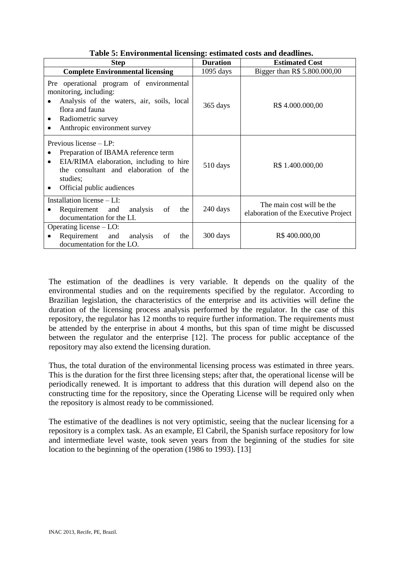| <b>Step</b>                                                                                                                                                                                               | <b>Duration</b> | <b>Estimated Cost</b>                                             |
|-----------------------------------------------------------------------------------------------------------------------------------------------------------------------------------------------------------|-----------------|-------------------------------------------------------------------|
| <b>Complete Environmental licensing</b>                                                                                                                                                                   | $1095$ days     | Bigger than R\$ 5.800.000,00                                      |
| Pre operational program of environmental<br>monitoring, including:<br>Analysis of the waters, air, soils, local<br>flora and fauna<br>Radiometric survey<br>Anthropic environment survey                  | 365 days        | R\$4.000.000,00                                                   |
| Previous license $-LP$ :<br>Preparation of IBAMA reference term<br>EIA/RIMA elaboration, including to hire<br>$\bullet$<br>the consultant and elaboration of the<br>studies;<br>Official public audiences | 510 days        | R\$ 1.400.000,00                                                  |
| Installation license - LI:<br>analysis<br>Requirement and<br>the<br>of<br>documentation for the LI.                                                                                                       | 240 days        | The main cost will be the<br>elaboration of the Executive Project |
| Operating license $-$ LO:<br>Requirement and<br>analysis<br>of<br>the<br>documentation for the LO.                                                                                                        | 300 days        | R\$400.000,00                                                     |

**Table 5: Environmental licensing: estimated costs and deadlines.**

The estimation of the deadlines is very variable. It depends on the quality of the environmental studies and on the requirements specified by the regulator. According to Brazilian legislation, the characteristics of the enterprise and its activities will define the duration of the licensing process analysis performed by the regulator. In the case of this repository, the regulator has 12 months to require further information. The requirements must be attended by the enterprise in about 4 months, but this span of time might be discussed between the regulator and the enterprise [12]. The process for public acceptance of the repository may also extend the licensing duration.

Thus, the total duration of the environmental licensing process was estimated in three years. This is the duration for the first three licensing steps; after that, the operational license will be periodically renewed. It is important to address that this duration will depend also on the constructing time for the repository, since the Operating License will be required only when the repository is almost ready to be commissioned.

The estimative of the deadlines is not very optimistic, seeing that the nuclear licensing for a repository is a complex task. As an example, El Cabril, the Spanish surface repository for low and intermediate level waste, took seven years from the beginning of the studies for site location to the beginning of the operation (1986 to 1993). [13]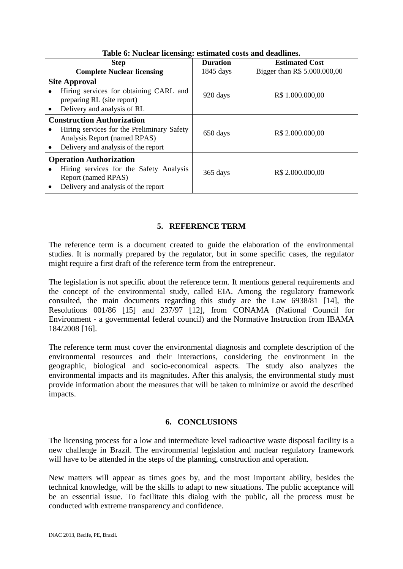| <b>Step</b>                                                                                                                                            | <b>Duration</b> | <b>Estimated Cost</b>        |
|--------------------------------------------------------------------------------------------------------------------------------------------------------|-----------------|------------------------------|
| <b>Complete Nuclear licensing</b>                                                                                                                      | 1845 days       | Bigger than R\$ 5.000.000,00 |
| <b>Site Approval</b><br>Hiring services for obtaining CARL and<br>preparing RL (site report)<br>Delivery and analysis of RL                            | 920 days        | R\$ 1.000.000,00             |
| <b>Construction Authorization</b><br>Hiring services for the Preliminary Safety<br>Analysis Report (named RPAS)<br>Delivery and analysis of the report | 650 days        | R\$ 2.000.000,00             |
| <b>Operation Authorization</b><br>Hiring services for the Safety Analysis<br>Report (named RPAS)<br>Delivery and analysis of the report                | 365 days        | R\$ 2.000.000,00             |

**Table 6: Nuclear licensing: estimated costs and deadlines.** 

# **5. REFERENCE TERM**

The reference term is a document created to guide the elaboration of the environmental studies. It is normally prepared by the regulator, but in some specific cases, the regulator might require a first draft of the reference term from the entrepreneur.

The legislation is not specific about the reference term. It mentions general requirements and the concept of the environmental study, called EIA. Among the regulatory framework consulted, the main documents regarding this study are the Law 6938/81 [14], the Resolutions 001/86 [15] and 237/97 [12], from CONAMA (National Council for Environment - a governmental federal council) and the Normative Instruction from IBAMA 184/2008 [16].

The reference term must cover the environmental diagnosis and complete description of the environmental resources and their interactions, considering the environment in the geographic, biological and socio-economical aspects. The study also analyzes the environmental impacts and its magnitudes. After this analysis, the environmental study must provide information about the measures that will be taken to minimize or avoid the described impacts.

#### **6. CONCLUSIONS**

The licensing process for a low and intermediate level radioactive waste disposal facility is a new challenge in Brazil. The environmental legislation and nuclear regulatory framework will have to be attended in the steps of the planning, construction and operation.

New matters will appear as times goes by, and the most important ability, besides the technical knowledge, will be the skills to adapt to new situations. The public acceptance will be an essential issue. To facilitate this dialog with the public, all the process must be conducted with extreme transparency and confidence.